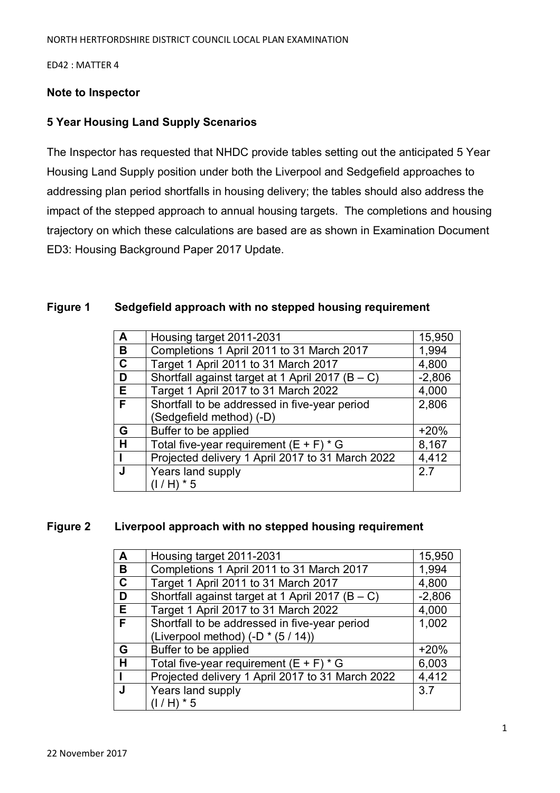ED42 : MATTER 4

### **Note to Inspector**

## **5 Year Housing Land Supply Scenarios**

The Inspector has requested that NHDC provide tables setting out the anticipated 5 Year Housing Land Supply position under both the Liverpool and Sedgefield approaches to addressing plan period shortfalls in housing delivery; the tables should also address the impact of the stepped approach to annual housing targets. The completions and housing trajectory on which these calculations are based are as shown in Examination Document ED3: Housing Background Paper 2017 Update.

### **Figure 1 Sedgefield approach with no stepped housing requirement**

| A           | Housing target 2011-2031                             | 15,950   |
|-------------|------------------------------------------------------|----------|
| B           | Completions 1 April 2011 to 31 March 2017            | 1,994    |
| $\mathbf C$ | Target 1 April 2011 to 31 March 2017                 | 4,800    |
| D           | Shortfall against target at 1 April 2017 ( $B - C$ ) | $-2,806$ |
| E.          | Target 1 April 2017 to 31 March 2022                 | 4,000    |
| F.          | Shortfall to be addressed in five-year period        | 2,806    |
|             | (Sedgefield method) (-D)                             |          |
| G           | Buffer to be applied                                 | $+20%$   |
| H           | Total five-year requirement $(E + F) * G$            | 8,167    |
|             | Projected delivery 1 April 2017 to 31 March 2022     | 4,412    |
| J           | Years land supply                                    | 2.7      |
|             | $(1/H) * 5$                                          |          |

#### **Figure 2 Liverpool approach with no stepped housing requirement**

| $\mathbf{A}$ | Housing target 2011-2031                             | 15,950   |
|--------------|------------------------------------------------------|----------|
| B            | Completions 1 April 2011 to 31 March 2017            | 1,994    |
| $\mathbf C$  | Target 1 April 2011 to 31 March 2017                 | 4,800    |
| D            | Shortfall against target at 1 April 2017 ( $B - C$ ) | $-2,806$ |
| E.           | Target 1 April 2017 to 31 March 2022                 | 4,000    |
| F            | Shortfall to be addressed in five-year period        | 1,002    |
|              | (Liverpool method) (-D * (5 / 14))                   |          |
| G            | Buffer to be applied                                 | $+20%$   |
| H            | Total five-year requirement $(E + F) * G$            | 6,003    |
|              | Projected delivery 1 April 2017 to 31 March 2022     | 4,412    |
|              | Years land supply                                    | 3.7      |
|              | $(1/H) * 5$                                          |          |